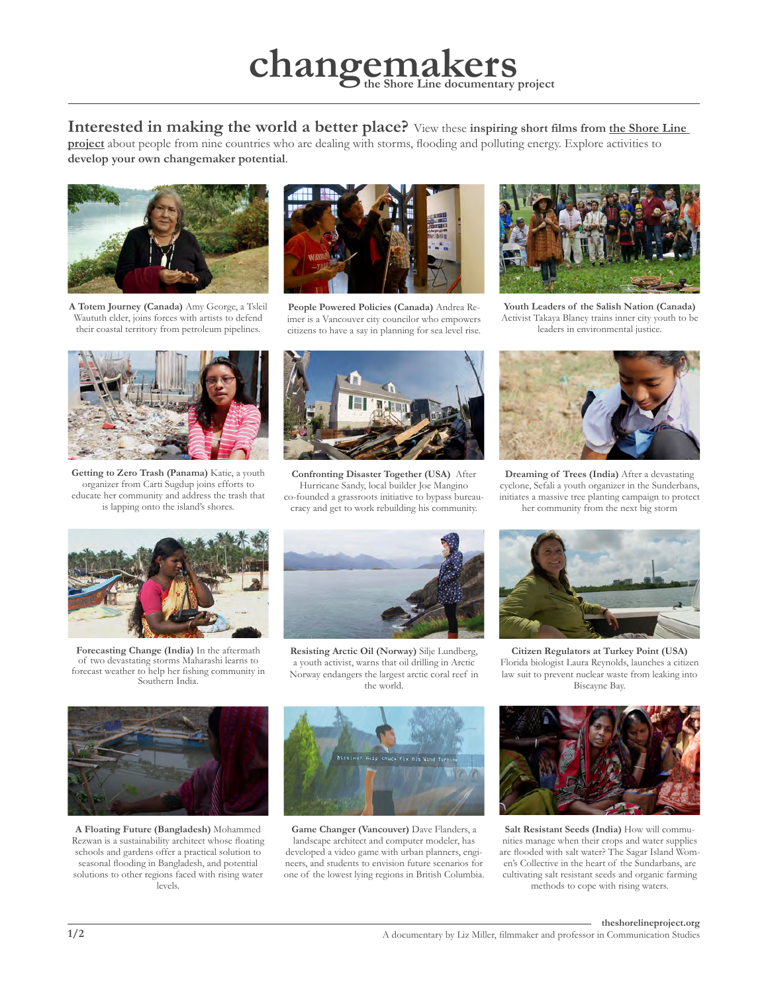## **changemakers the Shore Line documentary project**

**Interested in making the world a better place?** View these **inspiring short films from [the Shore Line](http://theshorelineproject.org/#!/archive)** 

**[project](http://theshorelineproject.org/#!/archive)** about people from nine countries who are dealing with storms, flooding and polluting energy. Explore activities to **develop your own changemaker potential**.



**A Totem Journey (Canada)** Amy George, a Tsleil Waututh elder, joins forces with artists to defend their coastal territory from petroleum pipelines.



**People Powered Policies (Canada)** Andrea Reimer is a Vancouver city councilor who empowers citizens to have a say in planning for sea level rise.



**Youth Leaders of the Salish Nation (Canada)** Activist Takaya Blaney trains inner city youth to be leaders in environmental justice.



**Getting to Zero Trash (Panama)** Katie, a youth organizer from Carti Sugdup joins efforts to educate her community and address the trash that is lapping onto the island's shores.



**Confronting Disaster Together (USA)** After Hurricane Sandy, local builder Joe Mangino co-founded a grassroots initiative to bypass bureaucracy and get to work rebuilding his community.



**Dreaming of Trees (India)** After a devastating cyclone, Sefali a youth organizer in the Sunderbans, initiates a massive tree planting campaign to protect her community from the next big storm



**Forecasting Change (India)** In the aftermath of two devastating storms Maharashi learns to forecast weather to help her fishing community in Southern India.



**Resisting Arctic Oil (Norway)** Silje Lundberg, a youth activist, warns that oil drilling in Arctic Norway endangers the largest arctic coral reef in the world.



**A Floating Future (Bangladesh)** Mohammed Rezwan is a sustainability architect whose floating schools and gardens offer a practical solution to seasonal flooding in Bangladesh, and potential solutions to other regions faced with rising water levels.



**Game Changer (Vancouver)** Dave Flanders, a landscape architect and computer modeler, has developed a video game with urban planners, engineers, and students to envision future scenarios for one of the lowest lying regions in British Columbia.



**Citizen Regulators at Turkey Point (USA)** Florida biologist Laura Reynolds, launches a citizen law suit to prevent nuclear waste from leaking into Biscayne Bay.



**Salt Resistant Seeds (India)** How will communities manage when their crops and water supplies are flooded with salt water? The Sagar Island Women's Collective in the heart of the Sundarbans, are cultivating salt resistant seeds and organic farming methods to cope with rising waters.